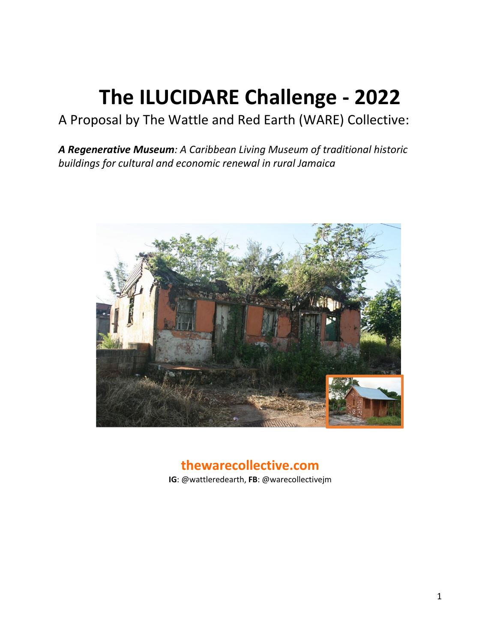# **The ILUCIDARE Challenge - 2022**

# A Proposal by The Wattle and Red Earth (WARE) Collective:

*A Regenerative Museum: A Caribbean Living Museum of traditional historic buildings for cultural and economic renewal in rural Jamaica*



# **thewarecollective.com**

**IG**: @wattleredearth, **FB**: @warecollectivejm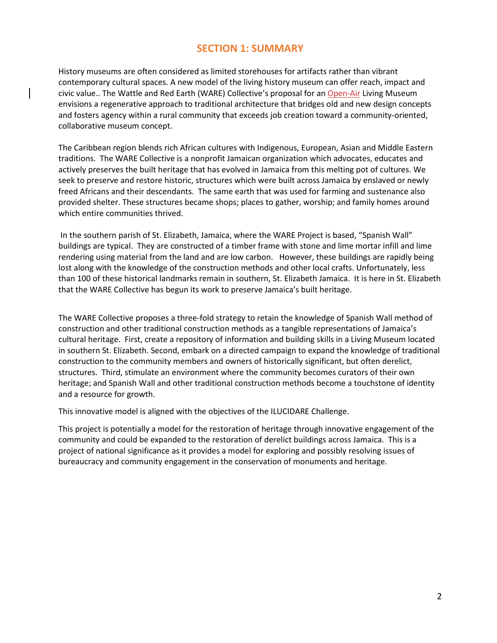## **SECTION 1: SUMMARY**

History museums are often considered as limited storehouses for artifacts rather than vibrant contemporary cultural spaces. A new model of the living history museum can offer reach, impact and civic value.. The Wattle and Red Earth (WARE) Collective's proposal for an Open-Air Living Museum envisions a regenerative approach to traditional architecture that bridges old and new design concepts and fosters agency within a rural community that exceeds job creation toward a community-oriented, collaborative museum concept.

The Caribbean region blends rich African cultures with Indigenous, European, Asian and Middle Eastern traditions. The WARE Collective is a nonprofit Jamaican organization which advocates, educates and actively preserves the built heritage that has evolved in Jamaica from this melting pot of cultures. We seek to preserve and restore historic, structures which were built across Jamaica by enslaved or newly freed Africans and their descendants. The same earth that was used for farming and sustenance also provided shelter. These structures became shops; places to gather, worship; and family homes around which entire communities thrived.

In the southern parish of St. Elizabeth, Jamaica, where the WARE Project is based, "Spanish Wall" buildings are typical. They are constructed of a timber frame with stone and lime mortar infill and lime rendering using material from the land and are low carbon. However, these buildings are rapidly being lost along with the knowledge of the construction methods and other local crafts. Unfortunately, less than 100 of these historical landmarks remain in southern, St. Elizabeth Jamaica. It is here in St. Elizabeth that the WARE Collective has begun its work to preserve Jamaica's built heritage.

The WARE Collective proposes a three-fold strategy to retain the knowledge of Spanish Wall method of construction and other traditional construction methods as a tangible representations of Jamaica's cultural heritage. First, create a repository of information and building skills in a Living Museum located in southern St. Elizabeth. Second, embark on a directed campaign to expand the knowledge of traditional construction to the community members and owners of historically significant, but often derelict, structures. Third, stimulate an environment where the community becomes curators of their own heritage; and Spanish Wall and other traditional construction methods become a touchstone of identity and a resource for growth.

This innovative model is aligned with the objectives of the ILUCIDARE Challenge.

This project is potentially a model for the restoration of heritage through innovative engagement of the community and could be expanded to the restoration of derelict buildings across Jamaica. This is a project of national significance as it provides a model for exploring and possibly resolving issues of bureaucracy and community engagement in the conservation of monuments and heritage.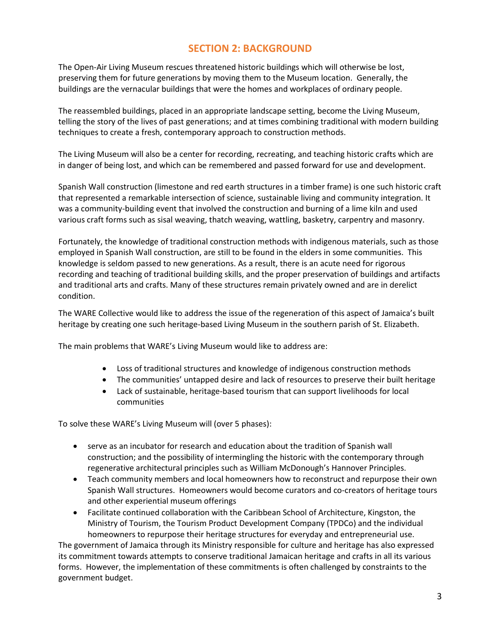## **SECTION 2: BACKGROUND**

The Open-Air Living Museum rescues threatened historic buildings which will otherwise be lost, preserving them for future generations by moving them to the Museum location. Generally, the buildings are the vernacular buildings that were the homes and workplaces of ordinary people.

The reassembled buildings, placed in an appropriate landscape setting, become the Living Museum, telling the story of the lives of past generations; and at times combining traditional with modern building techniques to create a fresh, contemporary approach to construction methods.

The Living Museum will also be a center for recording, recreating, and teaching historic crafts which are in danger of being lost, and which can be remembered and passed forward for use and development.

Spanish Wall construction (limestone and red earth structures in a timber frame) is one such historic craft that represented a remarkable intersection of science, sustainable living and community integration. It was a community-building event that involved the construction and burning of a lime kiln and used various craft forms such as sisal weaving, thatch weaving, wattling, basketry, carpentry and masonry.

Fortunately, the knowledge of traditional construction methods with indigenous materials, such as those employed in Spanish Wall construction, are still to be found in the elders in some communities. This knowledge is seldom passed to new generations. As a result, there is an acute need for rigorous recording and teaching of traditional building skills, and the proper preservation of buildings and artifacts and traditional arts and crafts. Many of these structures remain privately owned and are in derelict condition.

The WARE Collective would like to address the issue of the regeneration of this aspect of Jamaica's built heritage by creating one such heritage-based Living Museum in the southern parish of St. Elizabeth.

The main problems that WARE's Living Museum would like to address are:

- Loss of traditional structures and knowledge of indigenous construction methods
- The communities' untapped desire and lack of resources to preserve their built heritage
- Lack of sustainable, heritage-based tourism that can support livelihoods for local communities

To solve these WARE's Living Museum will (over 5 phases):

- serve as an incubator for research and education about the tradition of Spanish wall construction; and the possibility of intermingling the historic with the contemporary through regenerative architectural principles such as William McDonough's Hannover Principles.
- Teach community members and local homeowners how to reconstruct and repurpose their own Spanish Wall structures. Homeowners would become curators and co-creators of heritage tours and other experiential museum offerings
- Facilitate continued collaboration with the Caribbean School of Architecture, Kingston, the Ministry of Tourism, the Tourism Product Development Company (TPDCo) and the individual homeowners to repurpose their heritage structures for everyday and entrepreneurial use.

The government of Jamaica through its Ministry responsible for culture and heritage has also expressed its commitment towards attempts to conserve traditional Jamaican heritage and crafts in all its various forms. However, the implementation of these commitments is often challenged by constraints to the government budget.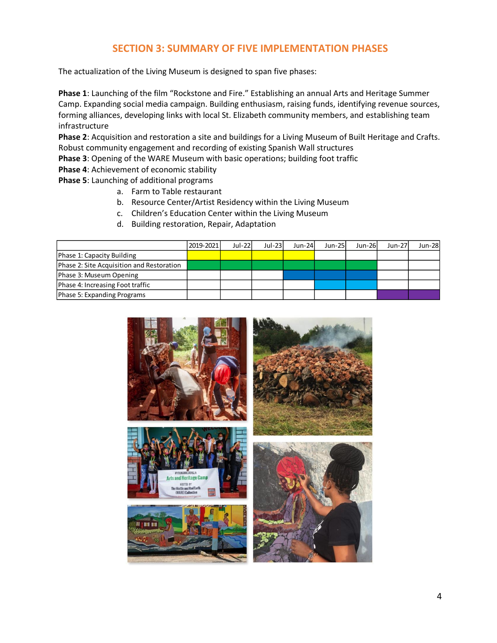## **SECTION 3: SUMMARY OF FIVE IMPLEMENTATION PHASES**

The actualization of the Living Museum is designed to span five phases:

**Phase 1**: Launching of the film "Rockstone and Fire." Establishing an annual Arts and Heritage Summer Camp. Expanding social media campaign. Building enthusiasm, raising funds, identifying revenue sources, forming alliances, developing links with local St. Elizabeth community members, and establishing team infrastructure

**Phase 2**: Acquisition and restoration a site and buildings for a Living Museum of Built Heritage and Crafts. Robust community engagement and recording of existing Spanish Wall structures

**Phase 3**: Opening of the WARE Museum with basic operations; building foot traffic

**Phase 4**: Achievement of economic stability

**Phase 5**: Launching of additional programs

- a. Farm to Table restaurant
- b. Resource Center/Artist Residency within the Living Museum
- c. Children's Education Center within the Living Museum
- d. Building restoration, Repair, Adaptation

|                                           | 2019-2021 | $Jul-22l$ | $Jul-23$ | $Jun-24$ | $Jun-25$ | $Jun-26$ | Jun-27 | <b>Jun-28</b> |
|-------------------------------------------|-----------|-----------|----------|----------|----------|----------|--------|---------------|
| Phase 1: Capacity Building                |           |           |          |          |          |          |        |               |
| Phase 2: Site Acquisition and Restoration |           |           |          |          |          |          |        |               |
| Phase 3: Museum Opening                   |           |           |          |          |          |          |        |               |
| Phase 4: Increasing Foot traffic          |           |           |          |          |          |          |        |               |
| Phase 5: Expanding Programs               |           |           |          |          |          |          |        |               |

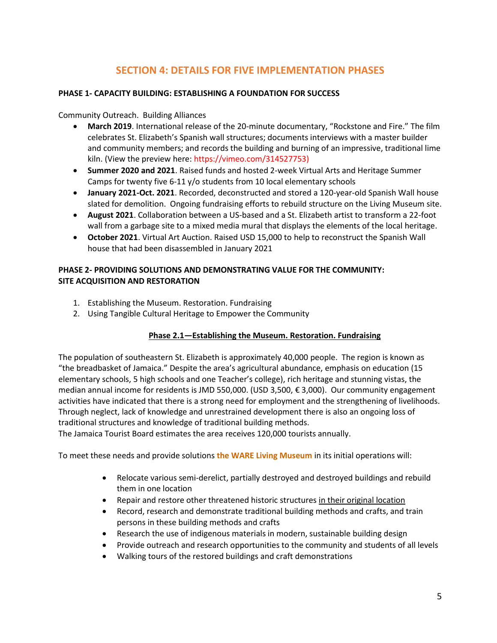# **SECTION 4: DETAILS FOR FIVE IMPLEMENTATION PHASES**

#### **PHASE 1- CAPACITY BUILDING: ESTABLISHING A FOUNDATION FOR SUCCESS**

Community Outreach. Building Alliances

- **March 2019**. International release of the 20-minute documentary, "Rockstone and Fire." The film celebrates St. Elizabeth's Spanish wall structures; documents interviews with a master builder and community members; and records the building and burning of an impressive, traditional lime kiln. (View the preview here: https://vimeo.com/314527753)
- **Summer 2020 and 2021**. Raised funds and hosted 2-week Virtual Arts and Heritage Summer Camps for twenty five 6-11 y/o students from 10 local elementary schools
- **January 2021-Oct. 2021**. Recorded, deconstructed and stored a 120-year-old Spanish Wall house slated for demolition. Ongoing fundraising efforts to rebuild structure on the Living Museum site.
- **August 2021**. Collaboration between a US-based and a St. Elizabeth artist to transform a 22-foot wall from a garbage site to a mixed media mural that displays the elements of the local heritage.
- **October 2021**. Virtual Art Auction. Raised USD 15,000 to help to reconstruct the Spanish Wall house that had been disassembled in January 2021

#### **PHASE 2- PROVIDING SOLUTIONS AND DEMONSTRATING VALUE FOR THE COMMUNITY: SITE ACQUISITION AND RESTORATION**

- 1. Establishing the Museum. Restoration. Fundraising
- 2. Using Tangible Cultural Heritage to Empower the Community

#### **Phase 2.1—Establishing the Museum. Restoration. Fundraising**

The population of southeastern St. Elizabeth is approximately 40,000 people. The region is known as "the breadbasket of Jamaica." Despite the area's agricultural abundance, emphasis on education (15 elementary schools, 5 high schools and one Teacher's college), rich heritage and stunning vistas, the median annual income for residents is JMD 550,000. (USD 3,500, € 3,000). Our community engagement activities have indicated that there is a strong need for employment and the strengthening of livelihoods. Through neglect, lack of knowledge and unrestrained development there is also an ongoing loss of traditional structures and knowledge of traditional building methods.

The Jamaica Tourist Board estimates the area receives 120,000 tourists annually.

To meet these needs and provide solutions **the WARE Living Museum** in its initial operations will:

- Relocate various semi-derelict, partially destroyed and destroyed buildings and rebuild them in one location
- Repair and restore other threatened historic structures in their original location
- Record, research and demonstrate traditional building methods and crafts, and train persons in these building methods and crafts
- Research the use of indigenous materials in modern, sustainable building design
- Provide outreach and research opportunities to the community and students of all levels
- Walking tours of the restored buildings and craft demonstrations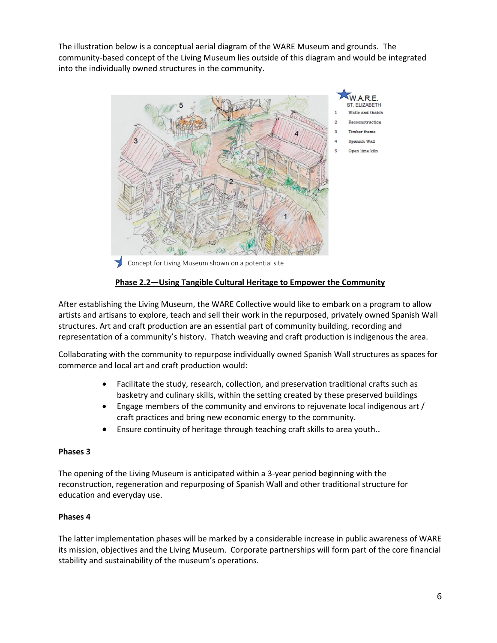The illustration below is a conceptual aerial diagram of the WARE Museum and grounds. The community-based concept of the Living Museum lies outside of this diagram and would be integrated into the individually owned structures in the community.



Concept for Living Museum shown on a potential site

#### **Phase 2.2—Using Tangible Cultural Heritage to Empower the Community**

After establishing the Living Museum, the WARE Collective would like to embark on a program to allow artists and artisans to explore, teach and sell their work in the repurposed, privately owned Spanish Wall structures. Art and craft production are an essential part of community building, recording and representation of a community's history. Thatch weaving and craft production is indigenous the area.

Collaborating with the community to repurpose individually owned Spanish Wall structures as spaces for commerce and local art and craft production would:

- Facilitate the study, research, collection, and preservation traditional crafts such as basketry and culinary skills, within the setting created by these preserved buildings
- Engage members of the community and environs to rejuvenate local indigenous art / craft practices and bring new economic energy to the community.
- Ensure continuity of heritage through teaching craft skills to area youth..

#### **Phases 3**

The opening of the Living Museum is anticipated within a 3-year period beginning with the reconstruction, regeneration and repurposing of Spanish Wall and other traditional structure for education and everyday use.

#### **Phases 4**

The latter implementation phases will be marked by a considerable increase in public awareness of WARE its mission, objectives and the Living Museum. Corporate partnerships will form part of the core financial stability and sustainability of the museum's operations.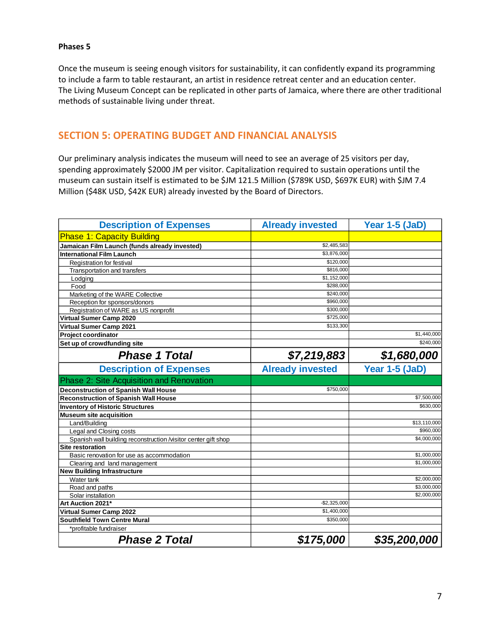#### **Phases 5**

Once the museum is seeing enough visitors for sustainability, it can confidently expand its programming to include a farm to table restaurant, an artist in residence retreat center and an education center. The Living Museum Concept can be replicated in other parts of Jamaica, where there are other traditional methods of sustainable living under threat.

#### **SECTION 5: OPERATING BUDGET AND FINANCIAL ANALYSIS**

Our preliminary analysis indicates the museum will need to see an average of 25 visitors per day, spending approximately \$2000 JM per visitor. Capitalization required to sustain operations until the museum can sustain itself is estimated to be \$JM 121.5 Million (\$789K USD, \$697K EUR) with \$JM 7.4 Million (\$48K USD, \$42K EUR) already invested by the Board of Directors.

| <b>Description of Expenses</b>                                 | <b>Already invested</b> | Year 1-5 (JaD) |
|----------------------------------------------------------------|-------------------------|----------------|
| <b>Phase 1: Capacity Building</b>                              |                         |                |
| Jamaican Film Launch (funds already invested)                  | \$2,485,583             |                |
| <b>International Film Launch</b>                               | \$3,876,000             |                |
| Registration for festival                                      | \$120,000               |                |
| Transportation and transfers                                   | \$816,000               |                |
| Lodging                                                        | \$1,152,000             |                |
| Food                                                           | \$288,000               |                |
| Marketing of the WARE Collective                               | \$240.000               |                |
| Reception for sponsors/donors                                  | \$960,000               |                |
| Registration of WARE as US nonprofit                           | \$300,000               |                |
| Virtual Sumer Camp 2020                                        | \$725,000               |                |
| Virtual Sumer Camp 2021                                        | \$133,300               |                |
| Project coordinator                                            |                         | \$1,440,000    |
| Set up of crowdfunding site                                    |                         | \$240,000      |
| <b>Phase 1 Total</b>                                           | \$7,219,883             | \$1,680,000    |
| <b>Description of Expenses</b>                                 | <b>Already invested</b> | Year 1-5 (JaD) |
| Phase 2: Site Acquisition and Renovation                       |                         |                |
| <b>Deconstruction of Spanish Wall House</b>                    | \$750,000               |                |
| <b>Reconstruction of Spanish Wall House</b>                    |                         | \$7,500,000    |
| <b>Inventory of Historic Structures</b>                        |                         | \$630,000      |
| <b>Museum site acquisition</b>                                 |                         |                |
| Land/Building                                                  |                         | \$13,110,000   |
| Legal and Closing costs                                        |                         | \$960,000      |
| Spanish wall building reconstruction /visitor center gift shop |                         | \$4,000,000    |
| <b>Site restoration</b>                                        |                         |                |
| Basic renovation for use as accommodation                      |                         | \$1,000,000    |
| Clearing and land management                                   |                         | \$1.000.000    |
| <b>New Building Infrastructure</b>                             |                         |                |
| Water tank                                                     |                         | \$2,000,000    |
| Road and paths                                                 |                         | \$3,000,000    |
| Solar installation                                             |                         | \$2,000,000    |
| Art Auction 2021*                                              | $-$ \$2,325,000         |                |
| Virtual Sumer Camp 2022                                        | \$1,400,000             |                |
| <b>Southfield Town Centre Mural</b>                            | \$350,000               |                |
| *profitable fundraiser                                         |                         |                |
| <b>Phase 2 Total</b>                                           | \$175,000               | \$35,200,000   |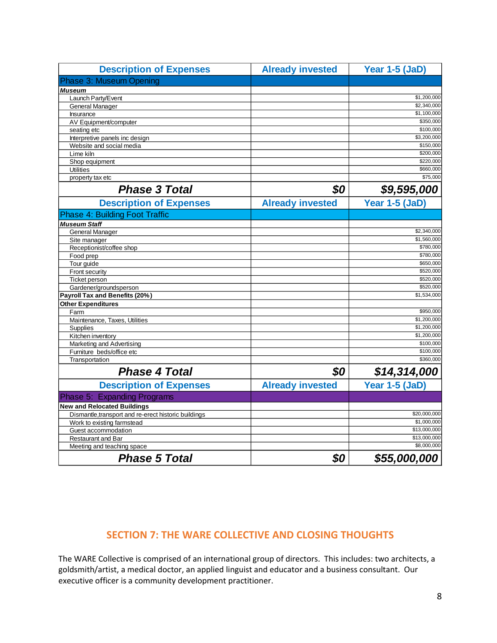| <b>Description of Expenses</b>                       | <b>Already invested</b> | Year 1-5 (JaD)           |
|------------------------------------------------------|-------------------------|--------------------------|
| Phase 3: Museum Opening                              |                         |                          |
| <b>Museum</b>                                        |                         |                          |
| Launch Party/Event                                   |                         | \$1,200,000              |
| General Manager                                      |                         | \$2,340,000              |
| Insurance                                            |                         | \$1,100,000              |
| AV Equipment/computer                                |                         | \$350,000                |
| seating etc                                          |                         | \$100,000                |
| Interpretive panels inc design                       |                         | \$3,200,000              |
| Website and social media                             |                         | \$150,000                |
| Lime kiln                                            |                         | \$200,000                |
| Shop equipment                                       |                         | \$220,000                |
| <b>Utilities</b>                                     |                         | \$660,000                |
| property tax etc                                     |                         | \$75,000                 |
| <b>Phase 3 Total</b>                                 | \$0                     | \$9,595,000              |
| <b>Description of Expenses</b>                       | <b>Already invested</b> | Year 1-5 (JaD)           |
| <b>Phase 4: Building Foot Traffic</b>                |                         |                          |
| <b>Museum Staff</b>                                  |                         |                          |
| General Manager                                      |                         | \$2,340,000              |
| Site manager                                         |                         | \$1,560,000              |
| Receptionist/coffee shop                             |                         | \$780,000                |
| Food prep                                            |                         | \$780,000                |
| Tour guide                                           |                         | \$650,000                |
| Front security                                       |                         | \$520,000                |
| Ticket person                                        |                         | \$520,000                |
| Gardener/groundsperson                               |                         | \$520,000                |
| Payroll Tax and Benefits (20%)                       |                         | \$1,534,000              |
| <b>Other Expenditures</b>                            |                         |                          |
| Farm                                                 |                         | \$950,000<br>\$1,200,000 |
| Maintenance, Taxes, Utilities                        |                         | \$1,200,000              |
| Supplies                                             |                         | \$1,200,000              |
| Kitchen inventory<br>Marketing and Advertising       |                         | \$100,000                |
| Furniture beds/office etc                            |                         | \$100,000                |
| Transportation                                       |                         | \$360,000                |
| <b>Phase 4 Total</b>                                 | \$0                     | \$14,314,000             |
|                                                      |                         |                          |
| <b>Description of Expenses</b>                       | <b>Already invested</b> | Year 1-5 (JaD)           |
| Phase 5: Expanding Programs                          |                         |                          |
| <b>New and Relocated Buildings</b>                   |                         |                          |
| Dismantle, transport and re-erect historic buildings |                         | \$20,000,000             |
| Work to existing farmstead                           |                         | \$1,000,000              |
| Guest accommodation                                  |                         | \$13,000,000             |
| Restaurant and Bar                                   |                         | \$13,000,000             |
| Meeting and teaching space                           |                         | \$8,000,000              |
| <b>Phase 5 Total</b>                                 | \$0                     | \$55,000,000             |

# **SECTION 7: THE WARE COLLECTIVE AND CLOSING THOUGHTS**

The WARE Collective is comprised of an international group of directors. This includes: two architects, a goldsmith/artist, a medical doctor, an applied linguist and educator and a business consultant. Our executive officer is a community development practitioner.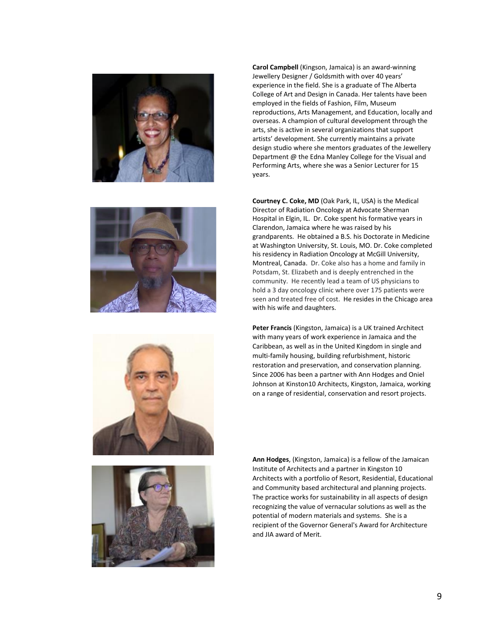







**Carol Campbell** (Kingson, Jamaica) is an award-winning Jewellery Designer / Goldsmith with over 40 years' experience in the field. She is a graduate of The Alberta College of Art and Design in Canada. Her talents have been employed in the fields of Fashion, Film, Museum reproductions, Arts Management, and Education, locally and overseas. A champion of cultural development through the arts, she is active in several organizations that support artists' development. She currently maintains a private design studio where she mentors graduates of the Jewellery Department @ the Edna Manley College for the Visual and Performing Arts, where she was a Senior Lecturer for 15 years.

**Courtney C. Coke, MD** (Oak Park, IL, USA) is the Medical Director of Radiation Oncology at Advocate Sherman Hospital in Elgin, IL. Dr. Coke spent his formative years in Clarendon, Jamaica where he was raised by his grandparents. He obtained a B.S. his Doctorate in Medicine at Washington University, St. Louis, MO. Dr. Coke completed his residency in Radiation Oncology at McGill University, Montreal, Canada. Dr. Coke also has a home and family in Potsdam, St. Elizabeth and is deeply entrenched in the community. He recently lead a team of US physicians to hold a 3 day oncology clinic where over 175 patients were seen and treated free of cost. He resides in the Chicago area with his wife and daughters.

**Peter Francis** (Kingston, Jamaica) is a UK trained Architect with many years of work experience in Jamaica and the Caribbean, as well as in the United Kingdom in single and multi-family housing, building refurbishment, historic restoration and preservation, and conservation planning. Since 2006 has been a partner with Ann Hodges and Oniel Johnson at Kinston10 Architects, Kingston, Jamaica, working on a range of residential, conservation and resort projects.

**Ann Hodges**, (Kingston, Jamaica) is a fellow of the Jamaican Institute of Architects and a partner in Kingston 10 Architects with a portfolio of Resort, Residential, Educational and Community based architectural and planning projects. The practice works for sustainability in all aspects of design recognizing the value of vernacular solutions as well as the potential of modern materials and systems. She is a recipient of the Governor General's Award for Architecture and JIA award of Merit.